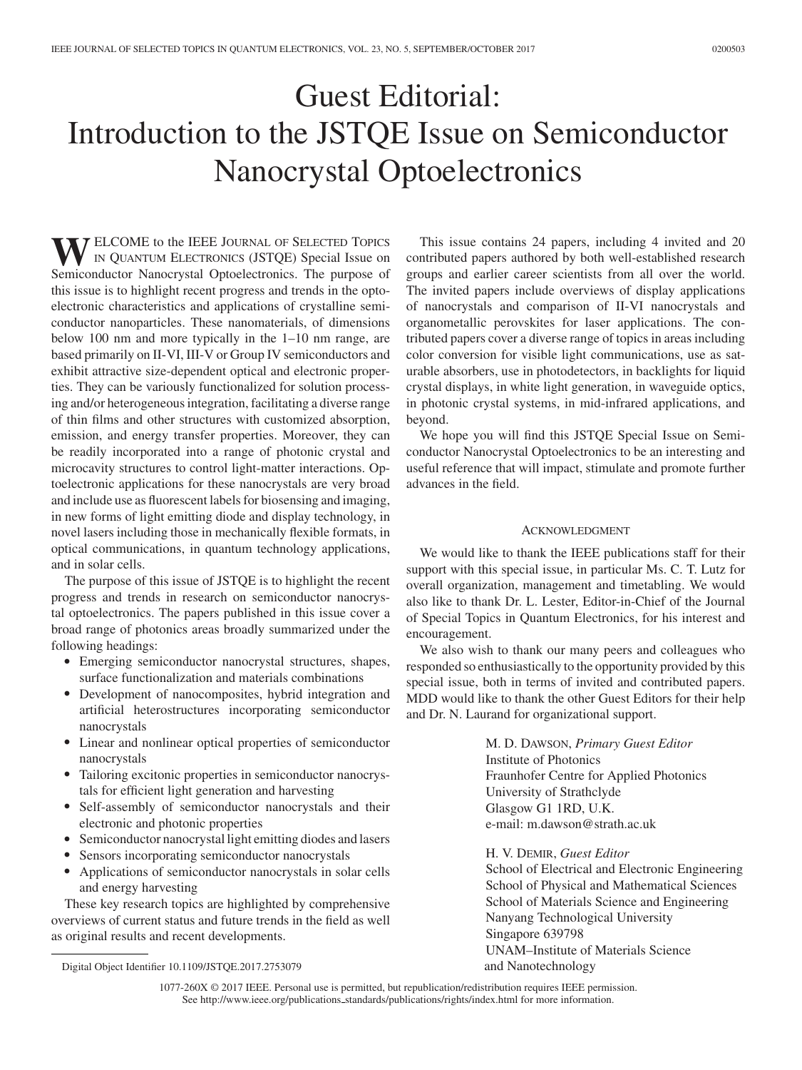## Guest Editorial: Introduction to the JSTQE Issue on Semiconductor Nanocrystal Optoelectronics

**WELCOME** to the IEEE JOURNAL OF SELECTED TOPICS<br>IN QUANTUM ELECTRONICS (JSTQE) Special Issue on<br>Semiconductor Nanogravital Optoelectronics. The nurnese of Semiconductor Nanocrystal Optoelectronics. The purpose of this issue is to highlight recent progress and trends in the optoelectronic characteristics and applications of crystalline semiconductor nanoparticles. These nanomaterials, of dimensions below 100 nm and more typically in the 1–10 nm range, are based primarily on II-VI, III-V or Group IV semiconductors and exhibit attractive size-dependent optical and electronic properties. They can be variously functionalized for solution processing and/or heterogeneous integration, facilitating a diverse range of thin films and other structures with customized absorption, emission, and energy transfer properties. Moreover, they can be readily incorporated into a range of photonic crystal and microcavity structures to control light-matter interactions. Optoelectronic applications for these nanocrystals are very broad and include use as fluorescent labels for biosensing and imaging, in new forms of light emitting diode and display technology, in novel lasers including those in mechanically flexible formats, in optical communications, in quantum technology applications, and in solar cells.

The purpose of this issue of JSTQE is to highlight the recent progress and trends in research on semiconductor nanocrystal optoelectronics. The papers published in this issue cover a broad range of photonics areas broadly summarized under the following headings:

- Emerging semiconductor nanocrystal structures, shapes, surface functionalization and materials combinations
- Development of nanocomposites, hybrid integration and artificial heterostructures incorporating semiconductor nanocrystals
- $\bullet$  Linear and nonlinear optical properties of semiconductor nanocrystals
- Tailoring excitonic properties in semiconductor nanocrystals for efficient light generation and harvesting
- Self-assembly of semiconductor nanocrystals and their electronic and photonic properties
- $\bullet$ Semiconductor nanocrystal light emitting diodes and lasers
- -Sensors incorporating semiconductor nanocrystals
- $\bullet$  Applications of semiconductor nanocrystals in solar cells and energy harvesting

These key research topics are highlighted by comprehensive overviews of current status and future trends in the field as well as original results and recent developments.

This issue contains 24 papers, including 4 invited and 20 contributed papers authored by both well-established research groups and earlier career scientists from all over the world. The invited papers include overviews of display applications of nanocrystals and comparison of II-VI nanocrystals and organometallic perovskites for laser applications. The contributed papers cover a diverse range of topics in areas including color conversion for visible light communications, use as saturable absorbers, use in photodetectors, in backlights for liquid crystal displays, in white light generation, in waveguide optics, in photonic crystal systems, in mid-infrared applications, and beyond.

We hope you will find this JSTQE Special Issue on Semiconductor Nanocrystal Optoelectronics to be an interesting and useful reference that will impact, stimulate and promote further advances in the field.

## ACKNOWLEDGMENT

We would like to thank the IEEE publications staff for their support with this special issue, in particular Ms. C. T. Lutz for overall organization, management and timetabling. We would also like to thank Dr. L. Lester, Editor-in-Chief of the Journal of Special Topics in Quantum Electronics, for his interest and encouragement.

We also wish to thank our many peers and colleagues who responded so enthusiastically to the opportunity provided by this special issue, both in terms of invited and contributed papers. MDD would like to thank the other Guest Editors for their help and Dr. N. Laurand for organizational support.

> M. D. DAWSON, *Primary Guest Editor* Institute of Photonics Fraunhofer Centre for Applied Photonics University of Strathclyde Glasgow G1 1RD, U.K. e-mail: m.dawson@strath.ac.uk

H. V. DEMIR, *Guest Editor*

School of Electrical and Electronic Engineering School of Physical and Mathematical Sciences School of Materials Science and Engineering Nanyang Technological University Singapore 639798 UNAM–Institute of Materials Science and Nanotechnology

1077-260X © 2017 IEEE. Personal use is permitted, but republication/redistribution requires IEEE permission. See http://www.ieee.org/publications.standards/publications/rights/index.html for more information.

Digital Object Identifier 10.1109/JSTQE.2017.2753079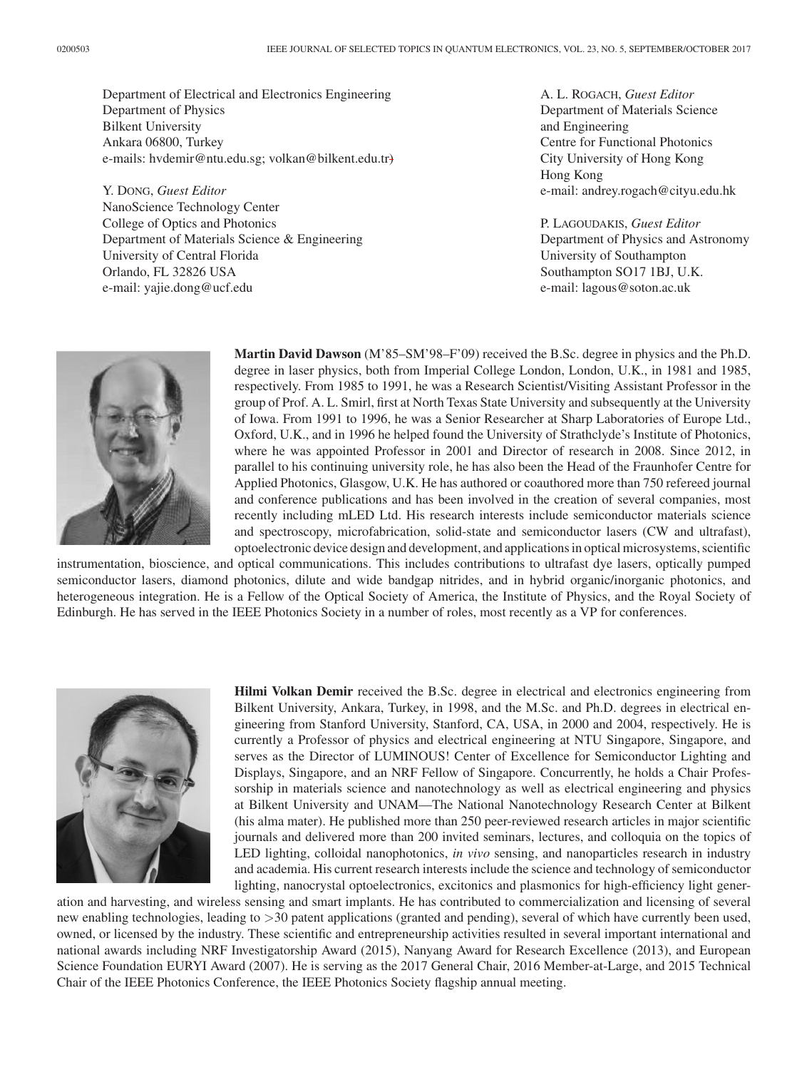Department of Electrical and Electronics Engineering Department of Physics Bilkent University Ankara 06800, Turkey e-mails: hvdemir@ntu.edu.sg; volkan@bilkent.edu.tr)

Y. DONG, *Guest Editor* NanoScience Technology Center College of Optics and Photonics Department of Materials Science & Engineering University of Central Florida Orlando, FL 32826 USA e-mail: yajie.dong@ucf.edu

A. L. ROGACH, *Guest Editor* Department of Materials Science and Engineering Centre for Functional Photonics City University of Hong Kong Hong Kong e-mail: andrey.rogach@cityu.edu.hk

P. LAGOUDAKIS, *Guest Editor* Department of Physics and Astronomy University of Southampton Southampton SO17 1BJ, U.K. e-mail: lagous@soton.ac.uk



**Martin David Dawson** (M'85–SM'98–F'09) received the B.Sc. degree in physics and the Ph.D. degree in laser physics, both from Imperial College London, London, U.K., in 1981 and 1985, respectively. From 1985 to 1991, he was a Research Scientist/Visiting Assistant Professor in the group of Prof. A. L. Smirl, first at North Texas State University and subsequently at the University of Iowa. From 1991 to 1996, he was a Senior Researcher at Sharp Laboratories of Europe Ltd., Oxford, U.K., and in 1996 he helped found the University of Strathclyde's Institute of Photonics, where he was appointed Professor in 2001 and Director of research in 2008. Since 2012, in parallel to his continuing university role, he has also been the Head of the Fraunhofer Centre for Applied Photonics, Glasgow, U.K. He has authored or coauthored more than 750 refereed journal and conference publications and has been involved in the creation of several companies, most recently including mLED Ltd. His research interests include semiconductor materials science and spectroscopy, microfabrication, solid-state and semiconductor lasers (CW and ultrafast), optoelectronic device design and development, and applications in optical microsystems, scientific

instrumentation, bioscience, and optical communications. This includes contributions to ultrafast dye lasers, optically pumped semiconductor lasers, diamond photonics, dilute and wide bandgap nitrides, and in hybrid organic/inorganic photonics, and heterogeneous integration. He is a Fellow of the Optical Society of America, the Institute of Physics, and the Royal Society of Edinburgh. He has served in the IEEE Photonics Society in a number of roles, most recently as a VP for conferences.



**Hilmi Volkan Demir** received the B.Sc. degree in electrical and electronics engineering from Bilkent University, Ankara, Turkey, in 1998, and the M.Sc. and Ph.D. degrees in electrical engineering from Stanford University, Stanford, CA, USA, in 2000 and 2004, respectively. He is currently a Professor of physics and electrical engineering at NTU Singapore, Singapore, and serves as the Director of LUMINOUS! Center of Excellence for Semiconductor Lighting and Displays, Singapore, and an NRF Fellow of Singapore. Concurrently, he holds a Chair Professorship in materials science and nanotechnology as well as electrical engineering and physics at Bilkent University and UNAM—The National Nanotechnology Research Center at Bilkent (his alma mater). He published more than 250 peer-reviewed research articles in major scientific journals and delivered more than 200 invited seminars, lectures, and colloquia on the topics of LED lighting, colloidal nanophotonics, *in vivo* sensing, and nanoparticles research in industry and academia. His current research interests include the science and technology of semiconductor lighting, nanocrystal optoelectronics, excitonics and plasmonics for high-efficiency light gener-

ation and harvesting, and wireless sensing and smart implants. He has contributed to commercialization and licensing of several new enabling technologies, leading to *>*30 patent applications (granted and pending), several of which have currently been used, owned, or licensed by the industry. These scientific and entrepreneurship activities resulted in several important international and national awards including NRF Investigatorship Award (2015), Nanyang Award for Research Excellence (2013), and European Science Foundation EURYI Award (2007). He is serving as the 2017 General Chair, 2016 Member-at-Large, and 2015 Technical Chair of the IEEE Photonics Conference, the IEEE Photonics Society flagship annual meeting.